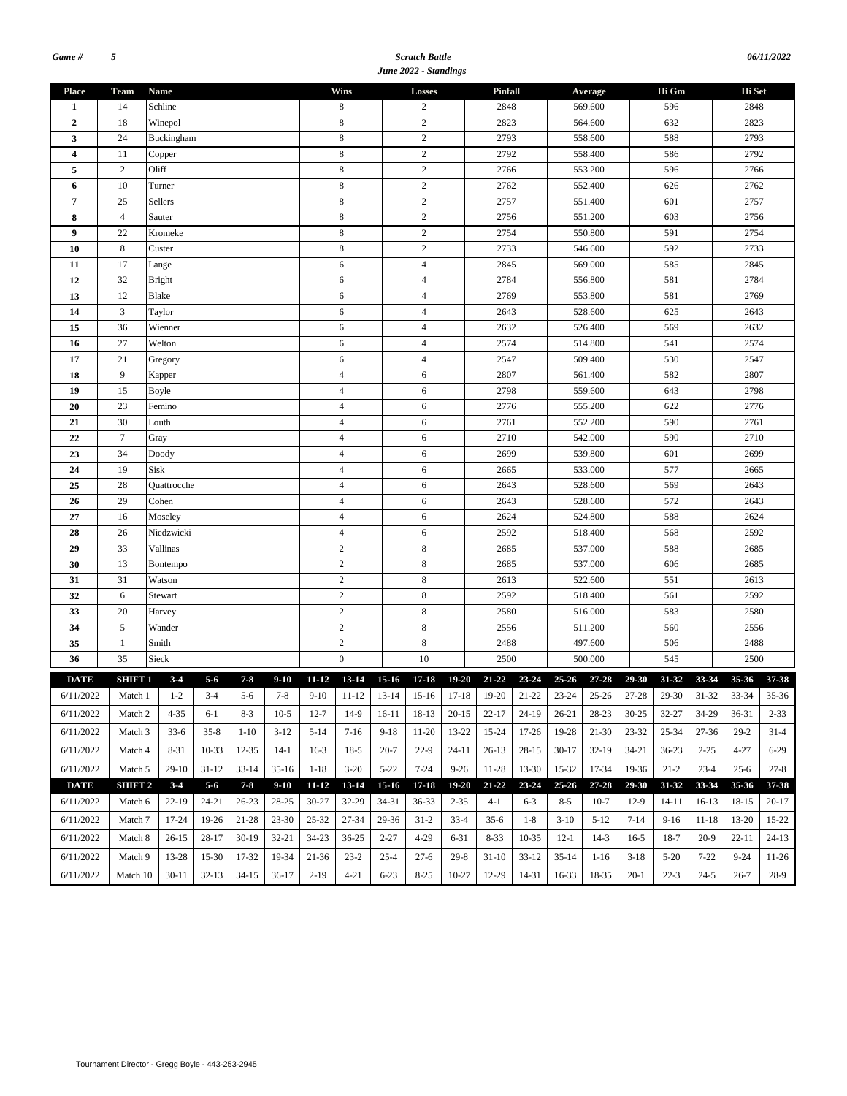#### *Scratch Battle June 2022 - Standings*

| <b>Place</b>            | Team               | Name          |           |           |           |                | Wins             |            | Losses           |                 | Pinfall                                                                                         |         |           | Average   |           | Hi Gm          |           | Hi Set    |           |  |
|-------------------------|--------------------|---------------|-----------|-----------|-----------|----------------|------------------|------------|------------------|-----------------|-------------------------------------------------------------------------------------------------|---------|-----------|-----------|-----------|----------------|-----------|-----------|-----------|--|
| 1                       | 14                 | Schline       |           |           |           | 8              |                  | 2          |                  | 2848            |                                                                                                 |         | 569.600   |           | 596       |                | 2848      |           |           |  |
| $\boldsymbol{2}$        | 18                 | Winepol       |           |           |           |                | $\,$ 8 $\,$      | $\sqrt{2}$ |                  |                 | 2823                                                                                            |         |           | 564.600   |           | 632<br>588     |           | 2823      |           |  |
| 3                       | 24                 | Buckingham    |           |           |           | 8              |                  | $\sqrt{2}$ |                  | 2793            |                                                                                                 |         | 558.600   |           |           |                | 2793      |           |           |  |
| $\overline{\mathbf{4}}$ | 11                 | Copper        |           |           |           |                | 8                |            | $\overline{c}$   |                 | 2792                                                                                            |         |           | 558.400   |           | 586            |           | 2792      |           |  |
| 5                       | $\mathbf{2}$       | Oliff         |           |           |           |                | 8                |            | $\overline{c}$   |                 | 2766                                                                                            |         |           | 553.200   |           | 596            |           | 2766      |           |  |
| 6                       | 10                 | Turner        |           |           |           |                | 8                |            | $\sqrt{2}$       |                 | 2762                                                                                            |         |           | 552.400   |           | 626            |           | 2762      |           |  |
| 7                       | 25                 | Sellers       |           |           |           |                | $\,$ 8 $\,$      |            | $\sqrt{2}$       |                 | 2757                                                                                            |         |           | 551.400   |           | 601            |           | 2757      |           |  |
| 8                       | $\overline{4}$     | Sauter        |           |           |           |                | $\,$ 8 $\,$      |            | $\sqrt{2}$       |                 | 2756                                                                                            |         |           | 551.200   |           | 603            |           | 2756      |           |  |
| 9                       | 22                 | Kromeke       |           |           |           |                | $\,8\,$          |            | $\sqrt{2}$       |                 | 2754                                                                                            |         |           | 550.800   |           | 591            |           | 2754      |           |  |
| 10                      | $\,8\,$            | Custer        |           |           |           |                | $\,$ 8 $\,$      |            | $\overline{c}$   |                 | 2733                                                                                            |         |           | 546.600   |           | 592            |           | 2733      |           |  |
| 11                      | 17                 | Lange         |           |           |           |                | 6                |            | $\overline{4}$   |                 | 2845                                                                                            |         |           | 569.000   |           | 585            |           | 2845      |           |  |
| 12                      | 32                 | <b>Bright</b> |           |           |           |                | 6                |            | $\overline{4}$   |                 | 2784                                                                                            |         |           | 556.800   |           | 581            |           | 2784      |           |  |
| 13                      | 12                 | Blake         |           |           |           |                | 6                |            | $\overline{4}$   |                 | 2769                                                                                            |         |           | 553.800   |           | 581            |           | 2769      |           |  |
| 14                      | $\mathfrak z$      | Taylor        |           |           |           |                | 6                |            | $\overline{4}$   |                 | 2643                                                                                            |         |           | 528.600   |           | 625            |           | 2643      |           |  |
| 15                      | 36                 | Wienner       |           |           |           |                | 6                |            | $\overline{4}$   |                 | 2632                                                                                            |         |           | 526.400   |           | 569            |           | 2632      |           |  |
| 16                      | 27                 | Welton        |           |           |           |                | 6                |            | $\overline{4}$   |                 | 2574                                                                                            |         |           | 514.800   |           | 541            |           | 2574      |           |  |
| 17                      | 21                 | Gregory       |           |           |           |                | 6                |            | $\overline{4}$   |                 | 2547                                                                                            |         |           | 509.400   |           | 530            |           | 2547      |           |  |
| 18                      | 9                  | Kapper        |           |           |           |                | $\overline{4}$   |            | 6                |                 | 2807                                                                                            |         |           | 561.400   |           | 582            |           | 2807      |           |  |
| 19                      | 15                 | Boyle         |           |           |           |                | $\overline{4}$   |            | 6                |                 | 2798                                                                                            |         |           | 559.600   |           | 643            |           | 2798      |           |  |
| 20                      | 23                 | Femino        |           |           |           | $\overline{4}$ |                  | 6          |                  | 2776            |                                                                                                 |         | 555.200   |           | 622       |                | 2776      |           |           |  |
| 21                      | 30                 | Louth         |           |           |           | $\overline{4}$ |                  | 6          |                  | 2761<br>552.200 |                                                                                                 |         |           | 590       |           | 2761           |           |           |           |  |
| 22                      | $\tau$             | Gray          |           |           |           | $\overline{4}$ |                  | 6          |                  | 2710            |                                                                                                 |         | 542.000   |           | 590       |                | 2710      |           |           |  |
| 23                      | 34                 | Doody         |           |           |           | $\overline{4}$ |                  | 6          |                  | 2699            |                                                                                                 |         | 539.800   |           | 601       |                | 2699      |           |           |  |
| 24                      | 19                 | Sisk          |           |           |           | $\overline{4}$ |                  | 6          |                  | 2665            |                                                                                                 |         | 533.000   |           | 577       |                | 2665      |           |           |  |
| 25                      | 28                 | Quattrocche   |           |           |           | $\overline{4}$ |                  | 6          |                  | 2643            |                                                                                                 |         | 528.600   |           | 569       |                | 2643      |           |           |  |
| 26                      | 29                 | Cohen         |           |           |           | $\overline{4}$ |                  | 6          |                  | 2643            |                                                                                                 |         | 528.600   |           | 572       |                | 2643      |           |           |  |
| 27                      | 16                 | Moseley       |           |           |           |                | $\overline{4}$   |            | 6                |                 | 2624                                                                                            |         |           | 524.800   |           | 588            |           | 2624      |           |  |
| 28                      | 26                 | Niedzwicki    |           |           |           | $\overline{4}$ |                  |            | 6                |                 | 2592                                                                                            |         |           | 518.400   |           | 568            |           | 2592      |           |  |
| 29                      | 33                 | Vallinas      |           |           |           |                | $\sqrt{2}$       |            | $\,$ 8 $\,$      |                 | 2685                                                                                            |         |           | 537.000   |           | 588            |           | 2685      |           |  |
| 30                      | 13                 | Bontempo      |           |           |           |                | $\sqrt{2}$       |            | $\,$ 8 $\,$      |                 | 2685                                                                                            |         | 537.000   |           |           | 606            |           | 2685      |           |  |
| 31                      | 31                 | Watson        |           |           |           |                | $\overline{c}$   |            | 8                |                 | 2613                                                                                            |         | 522.600   |           |           | 551            |           | 2613      |           |  |
| 32                      | 6                  | Stewart       |           |           |           |                | $\sqrt{2}$       |            | $\,$ 8 $\,$      |                 | 2592                                                                                            |         | 518.400   |           |           | 561            |           | 2592      |           |  |
| 33                      | 20                 | Harvey        |           |           |           |                | $\sqrt{2}$       |            | $\,$ 8 $\,$      |                 | 2580                                                                                            |         | 516.000   |           | 583       |                |           | 2580      |           |  |
| 34                      | $\sqrt{5}$         | Wander        |           |           |           |                | $\sqrt{2}$       |            | $\,$ 8 $\,$      |                 | 2556                                                                                            |         |           | 511.200   |           | 560            |           | 2556      |           |  |
| 35                      | 1                  | Smith         |           |           |           |                | $\overline{c}$   |            | $\,$ 8 $\,$      |                 | 2488                                                                                            |         |           | 497.600   |           | 506            |           | 2488      |           |  |
| 36                      | 35                 | Sieck         |           |           |           |                | $\boldsymbol{0}$ |            | 10               |                 | 2500                                                                                            |         |           | 500.000   |           | 545            |           | 2500      |           |  |
|                         |                    |               |           |           |           |                |                  |            |                  |                 |                                                                                                 |         |           |           |           |                |           |           |           |  |
| <b>DATE</b>             | SHIFT 1<br>Match 1 | $3 - 4$       | $5 - 6$   | $7 - 8$   | $9-10$    |                | 11-12 13-14      | $15-16$    | $17 - 18$        |                 | 19-20 21-22 23-24 25-26 27-28<br>7-8 9-10 11-12 13-14 15-16 17-18 19-20 21-22 23-24 25-26 27-28 |         |           |           | 29-30     | 31-32<br>29-30 | 33-34     | $35 - 36$ | 37-38     |  |
| 6/11/2022               |                    | $1 - 2$       | $3-4$     | $5-6$     |           |                |                  |            |                  |                 |                                                                                                 |         |           |           |           |                | $31 - 32$ | 33-34     | $35 - 36$ |  |
| 6/11/2022               | Match 2            | $4 - 35$      | 6-1       | $8-3$     | $10-5$    | $12 - 7$       | 14-9             | 16-11      | 18-13            | $20-15$         | $22 - 17$                                                                                       | 24-19   | 26-21     | 28-23     | $30 - 25$ | 32-27          | 34-29     | 36-31     | $2 - 33$  |  |
| 6/11/2022               | Match 3            | $33-6$        | $35 - 8$  | $1-10$    | $3-12$    | $5-14$         | $7-16$           | $9-18$     | 11-20            | 13-22           | 15-24                                                                                           | 17-26   | 19-28     | 21-30     | 23-32     | 25-34          | 27-36     | $29-2$    | $31-4$    |  |
| 6/11/2022               | Match 4            | $8 - 31$      | $10-33$   | 12-35     | $14-1$    | $16-3$         | $18-5$           | $20 - 7$   | $22-9$           | 24-11           | $26-13$                                                                                         | 28-15   | $30-17$   | $32-19$   | $34 - 21$ | $36 - 23$      | $2 - 25$  | 4-27      | $6 - 29$  |  |
| 6/11/2022               | Match 5            | $29-10$       | $31 - 12$ | $33 - 14$ | $35 - 16$ | $1 - 18$       | $3-20$           | $5 - 22$   | $7 - 24$         | $9 - 26$        | $11 - 28$                                                                                       | 13-30   | 15-32     | 17-34     | 19-36     | $21 - 2$       | $23 - 4$  | $25 - 6$  | $27 - 8$  |  |
| <b>DATE</b>             | SHIFT 2            | $3 - 4$       | $5 - 6$   | $7 - 8$   | $9-10$    | $11 - 12$      | 13-14            | $15 - 16$  | $17 - 18$        | 19-20           | $21 - 22$                                                                                       | 23-24   | $25 - 26$ | $27 - 28$ | 29-30     | 31-32          | 33-34     | 35-36     | 37-38     |  |
| 6/11/2022               | Match 6            | $22-19$       | 24-21     | $26 - 23$ | 28-25     | 30-27          | 32-29            | 34-31      | 36-33            | $2 - 35$        | $4 - 1$                                                                                         | $6 - 3$ | $8 - 5$   | $10-7$    | $12-9$    | 14-11          | $16-13$   | 18-15     | $20-17$   |  |
|                         |                    |               |           |           |           |                |                  |            |                  |                 |                                                                                                 |         |           |           |           |                |           |           |           |  |
| 6/11/2022               | Match 7            | 17-24         | 19-26     | 21-28     | $23 - 30$ | $25 - 32$      | 27-34            | 29-36      | $31-2$           | $33-4$          | $35-6$                                                                                          | $1-8$   | $3-10$    | $5-12$    | $7 - 14$  | 9-16           | 11-18     | 13-20     | 15-22     |  |
| 6/11/2022               | Match 8            | $26-15$       | 28-17     | $30-19$   | 32-21     | 34-23          | $36 - 25$        | $2 - 27$   | $4 - 29$<br>6-31 |                 | $8 - 33$                                                                                        | 10-35   | $12-1$    | 14-3      | $16-5$    | 18-7           | $20-9$    | 22-11     | $24-13$   |  |
| 6/11/2022               | Match 9            | 13-28         | 15-30     | 17-32     | 19-34     | 21-36          | $23-2$           | $25 - 4$   | $27-6$           | $29-8$          | $31-10$                                                                                         | $33-12$ | $35-14$   | $1-16$    | $3-18$    | $5 - 20$       | $7 - 22$  | $9 - 24$  | 11-26     |  |
| 6/11/2022               | Match 10           | $30-11$       | $32-13$   | $34-15$   | $36-17$   | $2 - 19$       | $4 - 21$         | $6 - 23$   | $8-25$           | $10-27$         | 12-29                                                                                           | 14-31   | 16-33     | 18-35     | $20-1$    | $22 - 3$       | $24 - 5$  | $26 - 7$  | 28-9      |  |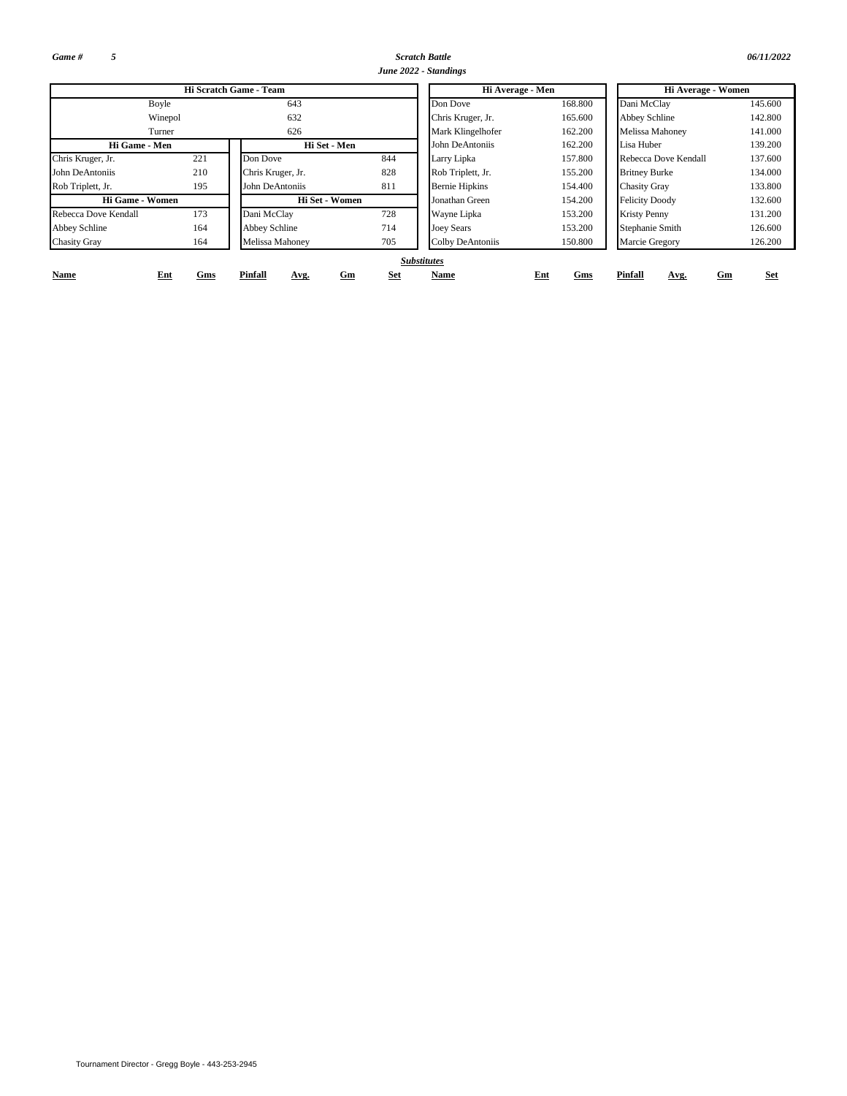*Game # 5*

**Name**

*Scratch Battle 06/11/2022 June 2022 - Standings*

|                      |         |                        |     | June 2022 - Standings |         |                       |         |
|----------------------|---------|------------------------|-----|-----------------------|---------|-----------------------|---------|
|                      |         | Hi Scratch Game - Team |     | Hi Average - Men      |         | Hi Average - Women    |         |
| Boyle                |         | 643                    |     | Don Dove              | 168.800 | Dani McClay           | 145.600 |
|                      | Winepol | 632                    |     | Chris Kruger, Jr.     | 165.600 | <b>Abbey Schline</b>  | 142.800 |
| Turner               |         | 626                    |     | Mark Klingelhofer     | 162.200 | Melissa Mahoney       | 141.000 |
| Hi Game - Men        |         | Hi Set - Men           |     | John DeAntoniis       | 162.200 | Lisa Huber            | 139.200 |
| Chris Kruger, Jr.    | 221     | Don Dove               | 844 | Larry Lipka           | 157.800 | Rebecca Dove Kendall  | 137.600 |
| John DeAntoniis      | 210     | Chris Kruger, Jr.      | 828 | Rob Triplett, Jr.     | 155.200 | <b>Britney Burke</b>  | 134.000 |
| Rob Triplett, Jr.    | 195     | John DeAntoniis        | 811 | <b>Bernie Hipkins</b> | 154.400 | <b>Chasity Gray</b>   | 133.800 |
| Hi Game - Women      |         | Hi Set - Women         |     | Jonathan Green        | 154.200 | <b>Felicity Doody</b> | 132.600 |
| Rebecca Dove Kendall | 173     | Dani McClay            | 728 | Wayne Lipka           | 153.200 | <b>Kristy Penny</b>   | 131.200 |
| Abbey Schline        | 164     | <b>Abbey Schline</b>   | 714 | <b>Joey Sears</b>     | 153.200 | Stephanie Smith       | 126.600 |
| <b>Chasity Gray</b>  | 164     | Melissa Mahoney        | 705 | Colby DeAntoniis      | 150.800 | Marcie Gregory        | 126.200 |

### **Name Ent** *Substitutes*

**Ent Gm Set Gms**

**Avg.**

**Pinfall**

**Gms Pinfall Avg.**

**Gm Set**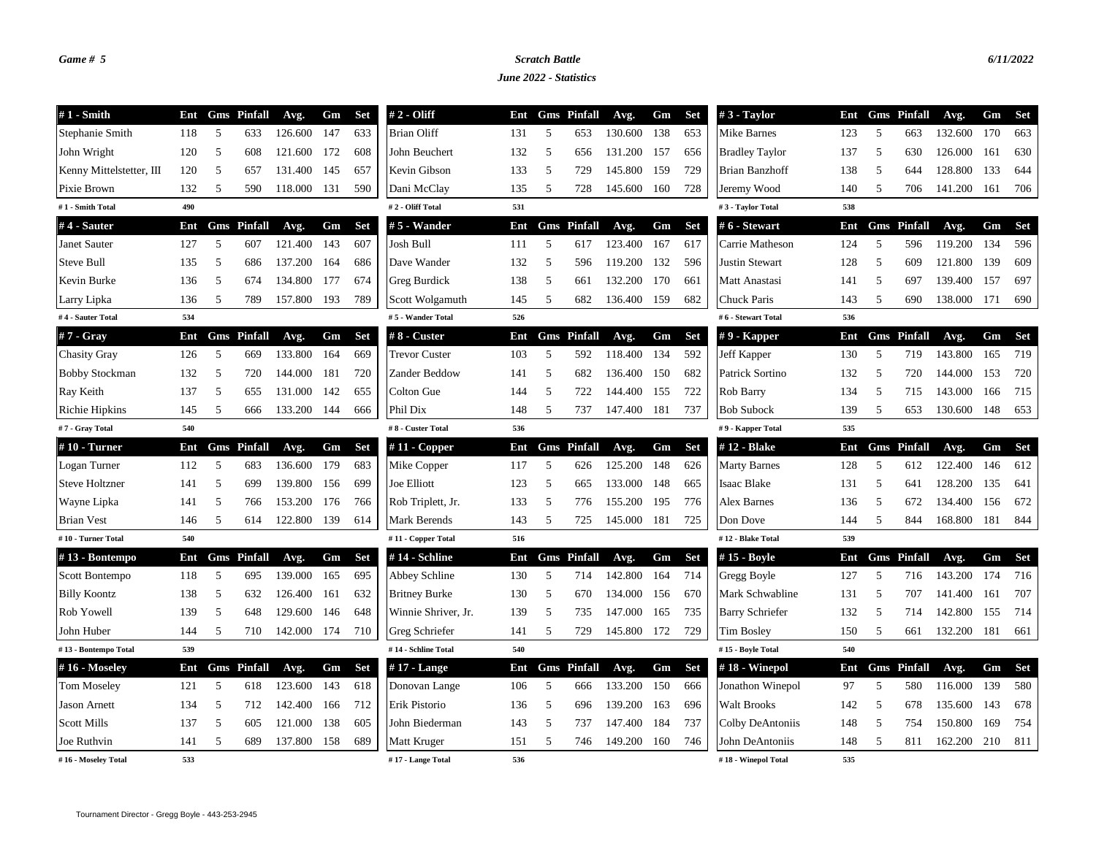## *Game # 5 Scratch Battle 6/11/2022*

*June 2022 - Statistics*

| $#1$ - Smith             | Ent |   | <b>Gms</b> Pinfall | Avg.    | Gm  | <b>Set</b> | # 2 - Oliff          | Ent |   | <b>Gms</b> Pinfall | Avg.    | Gm  | <b>Set</b> | $#3$ - Taylor          | Ent |    | <b>Gms</b> Pinfall | Avg.    | Gm  | <b>Set</b> |
|--------------------------|-----|---|--------------------|---------|-----|------------|----------------------|-----|---|--------------------|---------|-----|------------|------------------------|-----|----|--------------------|---------|-----|------------|
| Stephanie Smith          | 118 | 5 | 633                | 126.600 | 147 | 633        | <b>Brian Oliff</b>   | 131 | 5 | 653                | 130.600 | 138 | 653        | Mike Barnes            | 123 | 5  | 663                | 132.600 | 170 | 663        |
| John Wright              | 120 | 5 | 608                | 121.600 | 172 | 608        | John Beuchert        | 132 | 5 | 656                | 131.200 | 157 | 656        | <b>Bradley Taylor</b>  | 137 | 5  | 630                | 126.000 | 161 | 630        |
| Kenny Mittelstetter, III | 120 | 5 | 657                | 131.400 | 145 | 657        | Kevin Gibson         | 133 | 5 | 729                | 145.800 | 159 | 729        | Brian Banzhoff         | 138 | -5 | 644                | 128.800 | 133 | 644        |
| Pixie Brown              | 132 | 5 | 590                | 118.000 | 131 | 590        | Dani McClay          | 135 | 5 | 728                | 145.600 | 160 | 728        | Jeremy Wood            | 140 | 5  | 706                | 141.200 | 161 | 706        |
| #1 - Smith Total         | 490 |   |                    |         |     |            | #2 - Oliff Total     | 531 |   |                    |         |     |            | #3 - Taylor Total      | 538 |    |                    |         |     |            |
| #4 - Sauter              | Ent |   | <b>Gms</b> Pinfall | Avg.    | Gm  | <b>Set</b> | #5 - Wander          | Ent |   | <b>Gms</b> Pinfall | Avg.    | Gm  | <b>Set</b> | #6 - Stewart           | Ent |    | <b>Gms</b> Pinfall | Avg.    | Gm  | <b>Set</b> |
| Janet Sauter             | 127 | 5 | 607                | 121.400 | 143 | 607        | Josh Bull            | 111 | 5 | 617                | 123.400 | 167 | 617        | Carrie Matheson        | 124 | 5  | 596                | 119.200 | 134 | 596        |
| <b>Steve Bull</b>        | 135 | 5 | 686                | 137.200 | 164 | 686        | Dave Wander          | 132 | 5 | 596                | 119.200 | 132 | 596        | <b>Justin Stewart</b>  | 128 | 5  | 609                | 121.800 | 139 | 609        |
| Kevin Burke              | 136 | 5 | 674                | 134.800 | 177 | 674        | Greg Burdick         | 138 | 5 | 661                | 132.200 | 170 | 661        | Matt Anastasi          | 141 | 5  | 697                | 139.400 | 157 | 697        |
| Larry Lipka              | 136 | 5 | 789                | 157.800 | 193 | 789        | Scott Wolgamuth      | 145 | 5 | 682                | 136.400 | 159 | 682        | Chuck Paris            | 143 | 5  | 690                | 138.000 | 171 | 690        |
| #4 - Sauter Total        | 534 |   |                    |         |     |            | #5 - Wander Total    | 526 |   |                    |         |     |            | #6 - Stewart Total     | 536 |    |                    |         |     |            |
| $#7 - Gray$              | Ent |   | <b>Gms</b> Pinfall | Avg.    | Gm  | <b>Set</b> | # 8 - Custer         | Ent |   | <b>Gms</b> Pinfall | Avg.    | Gm  | <b>Set</b> | $# 9$ - Kapper         | Ent |    | <b>Gms</b> Pinfall | Avg.    | Gm  | <b>Set</b> |
| <b>Chasity Gray</b>      | 126 | 5 | 669                | 133.800 | 164 | 669        | <b>Trevor Custer</b> | 103 | 5 | 592                | 118.400 | 134 | 592        | Jeff Kapper            | 130 | 5  | 719                | 143.800 | 165 | 719        |
| <b>Bobby Stockman</b>    | 132 | 5 | 720                | 144.000 | 181 | 720        | Zander Beddow        | 141 | 5 | 682                | 136.400 | 150 | 682        | Patrick Sortino        | 132 | 5  | 720                | 144.000 | 153 | 720        |
| Ray Keith                | 137 | 5 | 655                | 131.000 | 142 | 655        | Colton Gue           | 144 | 5 | 722                | 144.400 | 155 | 722        | Rob Barry              | 134 | -5 | 715                | 143.000 | 166 | 715        |
| Richie Hipkins           | 145 | 5 | 666                | 133.200 | 144 | 666        | Phil Dix             | 148 | 5 | 737                | 147.400 | 181 | 737        | <b>Bob Subock</b>      | 139 | 5  | 653                | 130.600 | 148 | 653        |
| #7 - Gray Total          | 540 |   |                    |         |     |            | #8 - Custer Total    | 536 |   |                    |         |     |            | #9 - Kapper Total      | 535 |    |                    |         |     |            |
| $#10$ - Turner           | Ent |   | <b>Gms</b> Pinfall | Avg.    | Gm  | <b>Set</b> | #11 - Copper         | Ent |   | <b>Gms</b> Pinfall | Avg.    | Gm  | <b>Set</b> | #12 - Blake            | Ent |    | <b>Gms</b> Pinfall | Avg.    | Gm  | Set        |
| Logan Turner             | 112 | 5 | 683                | 136.600 | 179 | 683        | Mike Copper          | 117 | 5 | 626                | 125.200 | 148 | 626        | <b>Marty Barnes</b>    | 128 | 5  | 612                | 122.400 | 146 | 612        |
| <b>Steve Holtzner</b>    | 141 | 5 | 699                | 139.800 | 156 | 699        | Joe Elliott          | 123 | 5 | 665                | 133.000 | 148 | 665        | Isaac Blake            | 131 | 5  | 641                | 128.200 | 135 | 641        |
| Wayne Lipka              | 141 | 5 | 766                | 153.200 | 176 | 766        | Rob Triplett, Jr.    | 133 | 5 | 776                | 155.200 | 195 | 776        | Alex Barnes            | 136 | -5 | 672                | 134.400 | 156 | 672        |
| <b>Brian Vest</b>        | 146 | 5 | 614                | 122.800 | 139 | 614        | Mark Berends         | 143 | 5 | 725                | 145.000 | 181 | 725        | Don Dove               | 144 | 5  | 844                | 168.800 | 181 | 844        |
| #10 - Turner Total       | 540 |   |                    |         |     |            | #11 - Copper Total   | 516 |   |                    |         |     |            | #12 - Blake Total      | 539 |    |                    |         |     |            |
| #13 - Bontempo           | Ent |   | <b>Gms</b> Pinfall | Avg.    | Gm  | <b>Set</b> | #14 - Schline        | Ent |   | <b>Gms</b> Pinfall | Avg.    | Gm  | <b>Set</b> | #15 - Boyle            | Ent |    | <b>Gms</b> Pinfall | Avg.    | Gm  | <b>Set</b> |
| Scott Bontempo           | 118 | 5 | 695                | 139.000 | 165 | 695        | Abbey Schline        | 130 | 5 | 714                | 142.800 | 164 | 714        | Gregg Boyle            | 127 | 5  | 716                | 143.200 | 174 | 716        |
| <b>Billy Koontz</b>      | 138 | 5 | 632                | 126.400 | 161 | 632        | <b>Britney Burke</b> | 130 | 5 | 670                | 134.000 | 156 | 670        | Mark Schwabline        | 131 | 5  | 707                | 141.400 | 161 | 707        |
| Rob Yowell               | 139 | 5 | 648                | 129.600 | 146 | 648        | Winnie Shriver, Jr.  | 139 | 5 | 735                | 147.000 | 165 | 735        | <b>Barry Schriefer</b> | 132 | -5 | 714                | 142.800 | 155 | 714        |
| John Huber               | 144 | 5 | 710                | 142.000 | 174 | 710        | Greg Schriefer       | 141 | 5 | 729                | 145.800 | 172 | 729        | Tim Bosley             | 150 | 5  | 661                | 132.200 | 181 | 661        |
| #13 - Bontempo Total     | 539 |   |                    |         |     |            | #14 - Schline Total  | 540 |   |                    |         |     |            | #15 - Boyle Total      | 540 |    |                    |         |     |            |
| #16 - Moseley            | Ent |   | <b>Gms</b> Pinfall | Avg.    | Gm  | <b>Set</b> | #17 - Lange          | Ent |   | <b>Gms</b> Pinfall | Avg.    | Gm  | <b>Set</b> | #18 - Winepol          | Ent |    | <b>Gms</b> Pinfall | Avg.    | Gm  | <b>Set</b> |
| <b>Tom Moseley</b>       | 121 | 5 | 618                | 123.600 | 143 | 618        | Donovan Lange        | 106 | 5 | 666                | 133.200 | 150 | 666        | Jonathon Winepol       | 97  | 5  | 580                | 116.000 | 139 | 580        |
| <b>Jason Arnett</b>      | 134 | 5 | 712                | 142.400 | 166 | 712        | Erik Pistorio        | 136 | 5 | 696                | 139.200 | 163 | 696        | <b>Walt Brooks</b>     | 142 | 5  | 678                | 135.600 | 143 | 678        |
| <b>Scott Mills</b>       | 137 | 5 | 605                | 121.000 | 138 | 605        | John Biederman       | 143 | 5 | 737                | 147.400 | 184 | 737        | Colby DeAntoniis       | 148 | -5 | 754                | 150.800 | 169 | 754        |
| Joe Ruthvin              | 141 | 5 | 689                | 137.800 | 158 | 689        | Matt Kruger          | 151 | 5 | 746                | 149.200 | 160 | 746        | John DeAntoniis        | 148 | 5  | 811                | 162.200 | 210 | 811        |
| #16 - Moseley Total      | 533 |   |                    |         |     |            | #17 - Lange Total    | 536 |   |                    |         |     |            | #18 - Winepol Total    | 535 |    |                    |         |     |            |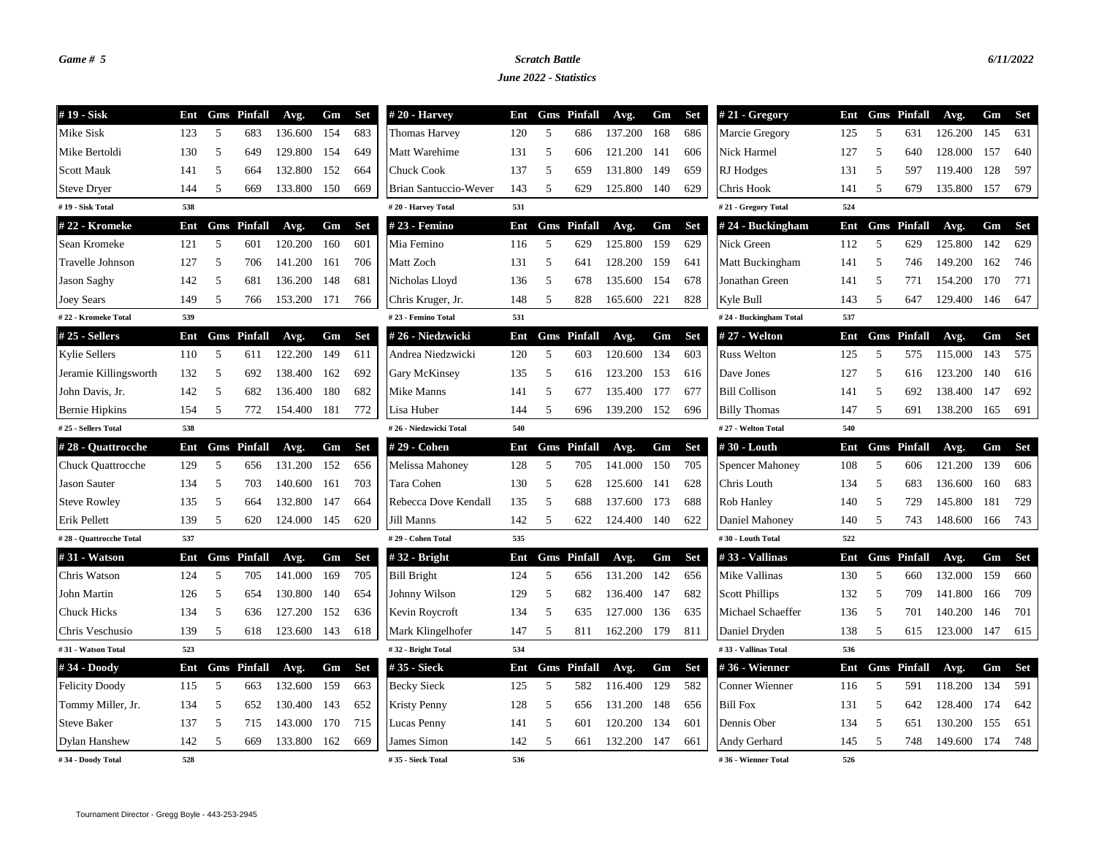## *Game # 5 Scratch Battle 6/11/2022*

*June 2022 - Statistics*

| #19 - Sisk               | Ent |   | <b>Gms</b> Pinfall | Avg.        | Gm  | Set        | $#20$ - Harvey         | Ent |   | <b>Gms</b> Pinfall | Avg.        | Gm  | <b>Set</b> | $#21$ - Gregory        |     |    | Ent Gms Pinfall    | Avg.    | Gm  | Set        |
|--------------------------|-----|---|--------------------|-------------|-----|------------|------------------------|-----|---|--------------------|-------------|-----|------------|------------------------|-----|----|--------------------|---------|-----|------------|
| Mike Sisk                | 123 | 5 | 683                | 136.600     | 154 | 683        | Thomas Harvey          | 120 | 5 | 686                | 137.200     | 168 | 686        | Marcie Gregory         | 125 | 5  | 631                | 126.200 | 145 | 631        |
| Mike Bertoldi            | 130 | 5 | 649                | 129.800     | 154 | 649        | Matt Warehime          | 131 | 5 | 606                | 121.200     | 141 | 606        | Nick Harmel            | 127 | 5  | 640                | 128.000 | 157 | 640        |
| <b>Scott Mauk</b>        | 141 | 5 | 664                | 132.800     | 152 | 664        | Chuck Cook             | 137 | 5 | 659                | 131.800     | 149 | 659        | RJ Hodges              | 131 | 5  | 597                | 119.400 | 128 | 597        |
| <b>Steve Dryer</b>       | 144 | 5 | 669                | 133.800     | 150 | 669        | Brian Santuccio-Wever  | 143 | 5 | 629                | 125.800     | 140 | 629        | Chris Hook             | 141 | 5  | 679                | 135.800 | 157 | 679        |
| #19 - Sisk Total         | 538 |   |                    |             |     |            | #20 - Harvey Total     | 531 |   |                    |             |     |            | #21 - Gregory Total    | 524 |    |                    |         |     |            |
| #22 - Kromeke            | Ent |   | <b>Gms</b> Pinfall | Avg.        | Gm  | <b>Set</b> | # 23 - Femino          | Ent |   | <b>Gms</b> Pinfall | Avg.        | Gm  | <b>Set</b> | $# 24 - Buckingham$    | Ent |    | <b>Gms</b> Pinfall | Avg.    | Gm  | <b>Set</b> |
| Sean Kromeke             | 121 | 5 | 601                | 120.200     | 160 | 601        | Mia Femino             | 116 | 5 | 629                | 125.800     | 159 | 629        | Nick Green             | 112 | 5  | 629                | 125.800 | 142 | 629        |
| Travelle Johnson         | 127 | 5 | 706                | 141.200     | 161 | 706        | Matt Zoch              | 131 | 5 | 641                | 128.200     | 159 | 641        | Matt Buckingham        | 141 | 5  | 746                | 149.200 | 162 | 746        |
| <b>Jason Saghy</b>       | 142 | 5 | 681                | 136.200     | 148 | 681        | Nicholas Lloyd         | 136 | 5 | 678                | 135.600     | 154 | 678        | Jonathan Green         | 141 | 5  | 771                | 154.200 | 170 | 771        |
| <b>Joey Sears</b>        | 149 | 5 | 766                | 153.200     | 171 | 766        | Chris Kruger, Jr.      | 148 | 5 | 828                | 165.600     | 221 | 828        | Kyle Bull              | 143 | 5  | 647                | 129.400 | 146 | 647        |
| #22 - Kromeke Total      | 539 |   |                    |             |     |            | #23 - Femino Total     | 531 |   |                    |             |     |            | #24 - Buckingham Total | 537 |    |                    |         |     |            |
| #25 - Sellers            | Ent |   | <b>Gms</b> Pinfall | Avg.        | Gm  | <b>Set</b> | #26 - Niedzwicki       | Ent |   | <b>Gms</b> Pinfall | Avg.        | Gm  | <b>Set</b> | # 27 - Welton          |     |    | Ent Gms Pinfall    | Avg.    | Gm  | <b>Set</b> |
| <b>Kylie Sellers</b>     | 110 | 5 | 611                | 122.200     | 149 | 611        | Andrea Niedzwicki      | 120 | 5 | 603                | 120.600     | 134 | 603        | <b>Russ Welton</b>     | 125 | 5  | 575                | 115.000 | 143 | 575        |
| Jeramie Killingsworth    | 132 | 5 | 692                | 138.400     | 162 | 692        | Gary McKinsey          | 135 | 5 | 616                | 123.200     | 153 | 616        | Dave Jones             | 127 | 5  | 616                | 123.200 | 140 | 616        |
| John Davis, Jr.          | 142 | 5 | 682                | 136.400     | 180 | 682        | Mike Manns             | 141 | 5 | 677                | 135.400     | 177 | 677        | <b>Bill Collison</b>   | 141 | 5  | 692                | 138.400 | 147 | 692        |
| <b>Bernie Hipkins</b>    | 154 | 5 | 772                | 154.400     | 181 | 772        | Lisa Huber             | 144 | 5 | 696                | 139.200     | 152 | 696        | <b>Billy Thomas</b>    | 147 | 5  | 691                | 138.200 | 165 | 691        |
| #25 - Sellers Total      | 538 |   |                    |             |     |            | #26 - Niedzwicki Total | 540 |   |                    |             |     |            | #27 - Welton Total     | 540 |    |                    |         |     |            |
| #28 - Quattrocche        | Ent |   | <b>Gms</b> Pinfall | Avg.        | Gm  | <b>Set</b> | # 29 - Cohen           | Ent |   | <b>Gms</b> Pinfall | Avg.        | Gm  | <b>Set</b> | #30 - Louth            | Ent |    | <b>Gms</b> Pinfall | Avg.    | Gm  | Set        |
| <b>Chuck Quattrocche</b> | 129 | 5 | 656                | 131.200     | 152 | 656        | Melissa Mahoney        | 128 | 5 | 705                | 141.000     | 150 | 705        | <b>Spencer Mahoney</b> | 108 | 5  | 606                | 121.200 | 139 | 606        |
| <b>Jason Sauter</b>      | 134 | 5 | 703                | 140.600     | 161 | 703        | Tara Cohen             | 130 | 5 | 628                | 125.600     | 141 | 628        | Chris Louth            | 134 | 5  | 683                | 136.600 | 160 | 683        |
| <b>Steve Rowley</b>      | 135 | 5 | 664                | 132.800     | 147 | 664        | Rebecca Dove Kendall   | 135 | 5 | 688                | 137.600     | 173 | 688        | Rob Hanley             | 140 | -5 | 729                | 145.800 | 181 | 729        |
| Erik Pellett             | 139 | 5 | 620                | 124.000     | 145 | 620        | Jill Manns             | 142 | 5 | 622                | 124.400     | 140 | 622        | Daniel Mahoney         | 140 | 5  | 743                | 148.600 | 166 | 743        |
| #28 - Quattrocche Total  | 537 |   |                    |             |     |            | #29 - Cohen Total      | 535 |   |                    |             |     |            | #30 - Louth Total      | 522 |    |                    |         |     |            |
| #31 - Watson             | Ent |   | <b>Gms</b> Pinfall | Avg.        | Gm  | <b>Set</b> | $#32$ - Bright         | Ent |   | <b>Gms</b> Pinfall | Avg.        | Gm  | <b>Set</b> | #33 - Vallinas         | Ent |    | <b>Gms</b> Pinfall | Avg.    | Gm  | Set        |
| Chris Watson             | 124 | 5 | 705                | 141.000     | 169 | 705        | <b>Bill Bright</b>     | 124 | 5 | 656                | 131.200     | 142 | 656        | Mike Vallinas          | 130 | 5  | 660                | 132.000 | 159 | 660        |
| John Martin              | 126 | 5 | 654                | 130.800     | 140 | 654        | Johnny Wilson          | 129 | 5 | 682                | 136.400     | 147 | 682        | <b>Scott Phillips</b>  | 132 | 5  | 709                | 141.800 | 166 | 709        |
| <b>Chuck Hicks</b>       | 134 | 5 | 636                | 127.200     | 152 | 636        | Kevin Roycroft         | 134 | 5 | 635                | 127.000     | 136 | 635        | Michael Schaeffer      | 136 | 5  | 701                | 140.200 | 146 | 701        |
| Chris Veschusio          | 139 | 5 | 618                | 123.600 143 |     | 618        | Mark Klingelhofer      | 147 | 5 | 811                | 162.200 179 |     | 811        | Daniel Dryden          | 138 | 5  | 615                | 123.000 | 147 | 615        |
| #31 - Watson Total       | 523 |   |                    |             |     |            | #32 - Bright Total     | 534 |   |                    |             |     |            | #33 - Vallinas Total   | 536 |    |                    |         |     |            |
| #34 - Doody              | Ent |   | <b>Gms</b> Pinfall | Avg.        | Gm  | <b>Set</b> | # 35 - Sieck           | Ent |   | <b>Gms</b> Pinfall | Avg.        | Gm  | <b>Set</b> | #36 - Wienner          |     |    | Ent Gms Pinfall    | Avg.    | Gm  | <b>Set</b> |
| <b>Felicity Doody</b>    | 115 | 5 | 663                | 132.600     | 159 | 663        | <b>Becky Sieck</b>     | 125 | 5 | 582                | 116.400     | 129 | 582        | Conner Wienner         | 116 | 5  | 591                | 118.200 | 134 | 591        |
| Tommy Miller, Jr.        | 134 | 5 | 652                | 130.400     | 143 | 652        | <b>Kristy Penny</b>    | 128 | 5 | 656                | 131.200     | 148 | 656        | <b>Bill Fox</b>        | 131 | 5  | 642                | 128.400 | 174 | 642        |
| <b>Steve Baker</b>       | 137 | 5 | 715                | 143.000     | 170 | 715        | Lucas Penny            | 141 | 5 | 601                | 120.200     | 134 | 601        | Dennis Ober            | 134 | 5  | 651                | 130.200 | 155 | 651        |
| Dylan Hanshew            | 142 | 5 | 669                | 133.800     | 162 | 669        | James Simon            | 142 | 5 | 661                | 132.200     | 147 | 661        | Andy Gerhard           | 145 | 5  | 748                | 149.600 | 174 | 748        |
| #34 - Doody Total        | 528 |   |                    |             |     |            | #35 - Sieck Total      | 536 |   |                    |             |     |            | #36 - Wienner Total    | 526 |    |                    |         |     |            |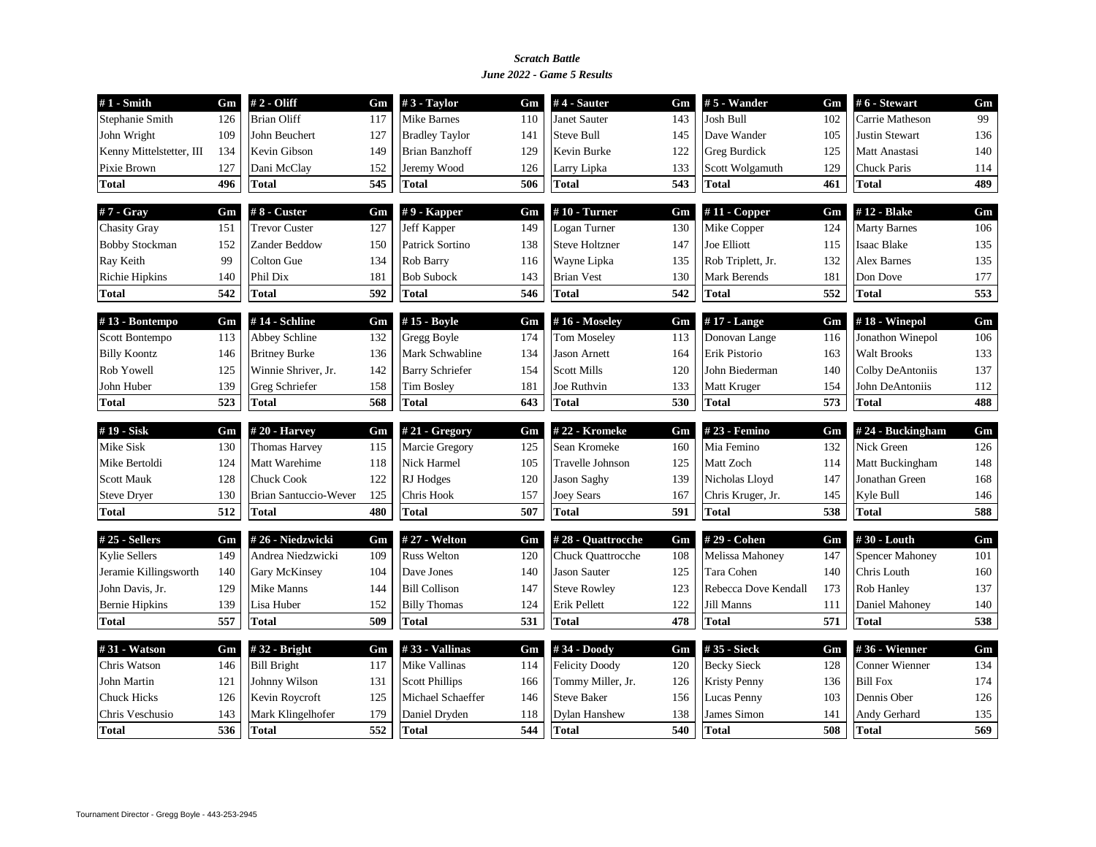## *June 2022 - Game 5 Results Scratch Battle*

| $#1$ - Smith             | Gm  | # 2 - Oliff           | Gm  | $#3$ - Taylor          | Gm  | $#4$ - Sauter         | Gm  | # 5 - Wander         | Gm  | #6 - Stewart           | Gm  |
|--------------------------|-----|-----------------------|-----|------------------------|-----|-----------------------|-----|----------------------|-----|------------------------|-----|
| Stephanie Smith          | 126 | <b>Brian Oliff</b>    | 117 | <b>Mike Barnes</b>     | 110 | <b>Janet Sauter</b>   | 143 | <b>Josh Bull</b>     | 102 | Carrie Matheson        | 99  |
| John Wright              | 109 | John Beuchert         | 127 | <b>Bradley Taylor</b>  | 141 | <b>Steve Bull</b>     | 145 | Dave Wander          | 105 | <b>Justin Stewart</b>  | 136 |
| Kenny Mittelstetter, III | 134 | Kevin Gibson          | 149 | <b>Brian Banzhoff</b>  | 129 | Kevin Burke           | 122 | <b>Greg Burdick</b>  | 125 | Matt Anastasi          | 140 |
| Pixie Brown              | 127 | Dani McClay           | 152 | Jeremy Wood            | 126 | Larry Lipka           | 133 | Scott Wolgamuth      | 129 | Chuck Paris            | 114 |
| <b>Total</b>             | 496 | <b>Total</b>          | 545 | <b>Total</b>           | 506 | <b>Total</b>          | 543 | <b>Total</b>         | 461 | <b>Total</b>           | 489 |
| $#7 - Gray$              | Gm  | $#8$ - Custer         | Gm  | $# 9$ - Kapper         | Gm  | $#10$ - Turner        | Gm  | $#11$ - Copper       | Gm  | #12 - Blake            | Gm  |
| <b>Chasity Gray</b>      | 151 | <b>Trevor Custer</b>  | 127 | Jeff Kapper            | 149 | Logan Turner          | 130 | Mike Copper          | 124 | <b>Marty Barnes</b>    | 106 |
| <b>Bobby Stockman</b>    | 152 | Zander Beddow         | 150 | Patrick Sortino        | 138 | <b>Steve Holtzner</b> | 147 | Joe Elliott          | 115 | <b>Isaac Blake</b>     | 135 |
| Ray Keith                | 99  | Colton Gue            | 134 | Rob Barry              | 116 | Wayne Lipka           | 135 | Rob Triplett, Jr.    | 132 | <b>Alex Barnes</b>     | 135 |
| Richie Hipkins           | 140 | Phil Dix              | 181 | <b>Bob Subock</b>      | 143 | <b>Brian Vest</b>     | 130 | <b>Mark Berends</b>  | 181 | Don Dove               | 177 |
| <b>Total</b>             | 542 | <b>Total</b>          | 592 | <b>Total</b>           | 546 | <b>Total</b>          | 542 | <b>Total</b>         | 552 | <b>Total</b>           | 553 |
| #13 - Bontempo           | Gm  | #14 - Schline         | Gm  | #15 - Boyle            | Gm  | #16 - Moseley         | Gm  | #17 - Lange          | Gm  | $#18$ - Winepol        | Gm  |
| Scott Bontempo           | 113 | Abbey Schline         | 132 | Gregg Boyle            | 174 | <b>Tom Moseley</b>    | 113 | Donovan Lange        | 116 | Jonathon Winepol       | 106 |
| <b>Billy Koontz</b>      | 146 | <b>Britney Burke</b>  | 136 | Mark Schwabline        | 134 | <b>Jason Arnett</b>   | 164 | Erik Pistorio        | 163 | <b>Walt Brooks</b>     | 133 |
| Rob Yowell               | 125 | Winnie Shriver, Jr.   | 142 | <b>Barry Schriefer</b> | 154 | <b>Scott Mills</b>    | 120 | John Biederman       | 140 | Colby DeAntoniis       | 137 |
| John Huber               | 139 | Greg Schriefer        | 158 | <b>Tim Bosley</b>      | 181 | Joe Ruthvin           | 133 | Matt Kruger          | 154 | John DeAntoniis        | 112 |
| <b>Total</b>             | 523 | <b>Total</b>          | 568 | <b>Total</b>           | 643 | <b>Total</b>          | 530 | <b>Total</b>         | 573 | <b>Total</b>           | 488 |
| #19 - Sisk               | Gm  | $#20$ - Harvey        | Gm  | #21 - Gregory          | Gm  | #22 - Kromeke         | Gm  | #23 - Femino         | Gm  | #24 - Buckingham       | Gm  |
| Mike Sisk                | 130 | <b>Thomas Harvey</b>  | 115 | Marcie Gregory         | 125 | Sean Kromeke          | 160 | Mia Femino           | 132 | Nick Green             | 126 |
| Mike Bertoldi            | 124 | Matt Warehime         | 118 | Nick Harmel            | 105 | Travelle Johnson      | 125 | Matt Zoch            | 114 | Matt Buckingham        | 148 |
| <b>Scott Mauk</b>        | 128 | <b>Chuck Cook</b>     | 122 | RJ Hodges              | 120 | <b>Jason Saghy</b>    | 139 | Nicholas Lloyd       | 147 | Jonathan Green         | 168 |
| <b>Steve Dryer</b>       | 130 | Brian Santuccio-Wever | 125 | Chris Hook             | 157 | <b>Joey Sears</b>     | 167 | Chris Kruger, Jr.    | 145 | Kyle Bull              | 146 |
| <b>Total</b>             | 512 | <b>Total</b>          | 480 | <b>Total</b>           | 507 | <b>Total</b>          | 591 | <b>Total</b>         | 538 | <b>Total</b>           | 588 |
| $#25$ - Sellers          | Gm  | #26 - Niedzwicki      | Gm  | # 27 - Welton          | Gm  | #28 - Quattrocche     | Gm  | #29 - Cohen          | Gm  | #30 - Louth            | Gm  |
| <b>Kylie Sellers</b>     | 149 | Andrea Niedzwicki     | 109 | <b>Russ Welton</b>     | 120 | Chuck Quattrocche     | 108 | Melissa Mahoney      | 147 | <b>Spencer Mahoney</b> | 101 |
| Jeramie Killingsworth    | 140 | Gary McKinsey         | 104 | Dave Jones             | 140 | Jason Sauter          | 125 | Tara Cohen           | 140 | Chris Louth            | 160 |
| John Davis, Jr.          | 129 | Mike Manns            | 144 | <b>Bill Collison</b>   | 147 | <b>Steve Rowley</b>   | 123 | Rebecca Dove Kendall | 173 | Rob Hanley             | 137 |
| <b>Bernie Hipkins</b>    | 139 | Lisa Huber            | 152 | <b>Billy Thomas</b>    | 124 | Erik Pellett          | 122 | <b>Jill Manns</b>    | 111 | Daniel Mahoney         | 140 |
| <b>Total</b>             | 557 | <b>Total</b>          | 509 | <b>Total</b>           | 531 | <b>Total</b>          | 478 | <b>Total</b>         | 571 | <b>Total</b>           | 538 |
| #31 - Watson             | Gm  | #32 - Bright          | Gm  | #33 - Vallinas         | Gm  | #34 - Doody           | Gm  | #35 - Sieck          | Gm  | #36 - Wienner          | Gm  |
| Chris Watson             | 146 | <b>Bill Bright</b>    | 117 | Mike Vallinas          | 114 | <b>Felicity Doody</b> | 120 | <b>Becky Sieck</b>   | 128 | Conner Wienner         | 134 |
| John Martin              | 121 | Johnny Wilson         | 131 | <b>Scott Phillips</b>  | 166 | Tommy Miller, Jr.     | 126 | <b>Kristy Penny</b>  | 136 | <b>Bill Fox</b>        | 174 |
| <b>Chuck Hicks</b>       | 126 | Kevin Roycroft        | 125 | Michael Schaeffer      | 146 | <b>Steve Baker</b>    | 156 | Lucas Penny          | 103 | Dennis Ober            | 126 |
| Chris Veschusio          | 143 | Mark Klingelhofer     | 179 | Daniel Dryden          | 118 | <b>Dylan Hanshew</b>  | 138 | James Simon          | 141 | Andy Gerhard           | 135 |
|                          |     |                       |     |                        |     |                       |     |                      |     |                        |     |